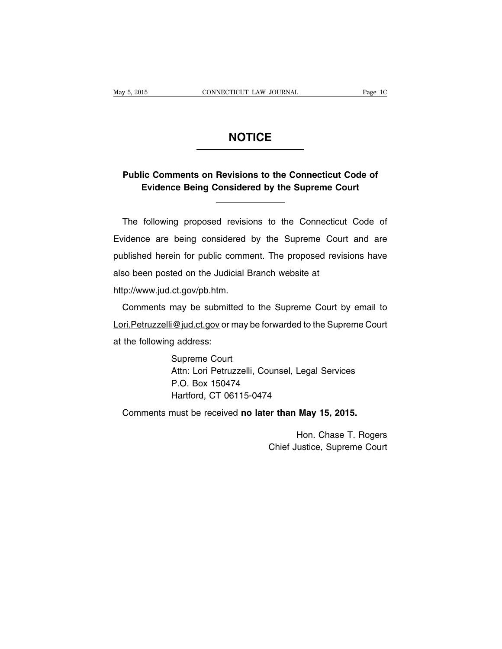# **NOTICE**

# **Public Comments on Revisions to the Connecticut Code of Evidence Being Considered by the Supreme Court**

The following proposed revisions to the Connecticut Code of Evidence are being considered by the Supreme Court and are published herein for public comment. The proposed revisions have also been posted on the Judicial Branch website at

http://www.jud.ct.gov/pb.htm.

Comments may be submitted to the Supreme Court by email to Lori. Petruzzelli@jud.ct.gov or may be forwarded to the Supreme Court at the following address:

> Supreme Court Attn: Lori Petruzzelli, Counsel, Legal Services P.O. Box 150474 Hartford, CT 06115-0474

Comments must be received **no later than May 15, 2015.**

Hon. Chase T. Rogers Chief Justice, Supreme Court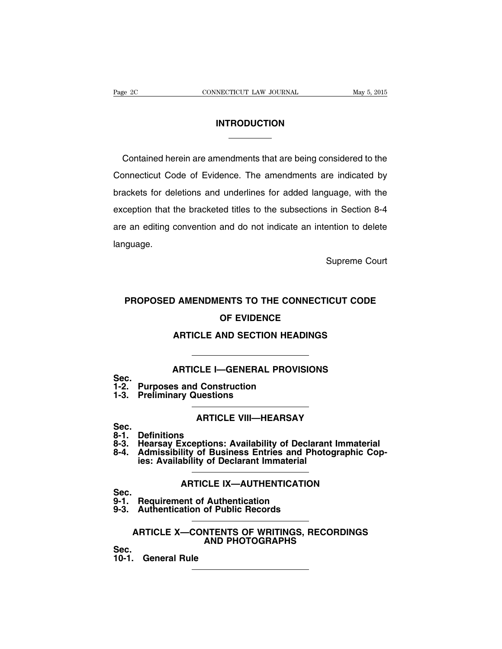# **INTRODUCTION**

Contained herein are amendments that are being considered to the Connecticut Code of Evidence. The amendments are indicated by brackets for deletions and underlines for added language, with the exception that the bracketed titles to the subsections in Section 8-4 are an editing convention and do not indicate an intention to delete language.

Supreme Court

# **PROPOSED AMENDMENTS TO THE CONNECTICUT CODE OF EVIDENCE**

# **ARTICLE AND SECTION HEADINGS**

# **ARTICLE I—GENERAL PROVISIONS**

# **Sec.**

- **1-2. Purposes and Construction**
- **1-3. Preliminary Questions**

# **ARTICLE VIII—HEARSAY**

- Sec.<br>8-1. **8-1. Definitions**
- **8-3. Hearsay Exceptions: Availability of Declarant Immaterial**
- **8-4. Admissibility of Business Entries and Photographic Copies: Availability of Declarant Immaterial**

# **ARTICLE IX—AUTHENTICATION**

Sec.<br>9-1. **9-1. Requirement of Authentication**

**9-3. Authentication of Public Records**

## **ARTICLE X—CONTENTS OF WRITINGS, RECORDINGS AND PHOTOGRAPHS**

**Sec.**

**10-1. General Rule**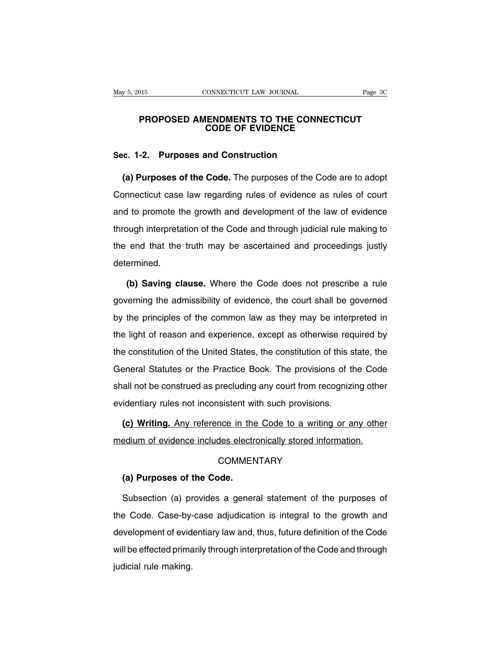### **PROPOSED AMENDMENTS TO THE CONNECTICUT CODE OF EVIDENCE**

### **Sec. 1-2. Purposes and Construction**

**(a) Purposes of the Code.** The purposes of the Code are to adopt Connecticut case law regarding rules of evidence as rules of court and to promote the growth and development of the law of evidence through interpretation of the Code and through judicial rule making to the end that the truth may be ascertained and proceedings justly determined.

**(b) Saving clause.** Where the Code does not prescribe a rule governing the admissibility of evidence, the court shall be governed by the principles of the common law as they may be interpreted in the light of reason and experience, except as otherwise required by the constitution of the United States, the constitution of this state, the General Statutes or the Practice Book. The provisions of the Code shall not be construed as precluding any court from recognizing other evidentiary rules not inconsistent with such provisions.

**(c) Writing.** Any reference in the Code to a writing or any other medium of evidence includes electronically stored information.

### **COMMENTARY**

### **(a) Purposes of the Code.**

Subsection (a) provides a general statement of the purposes of the Code. Case-by-case adjudication is integral to the growth and development of evidentiary law and, thus, future definition of the Code will be effected primarily through interpretation of the Code and through judicial rule making.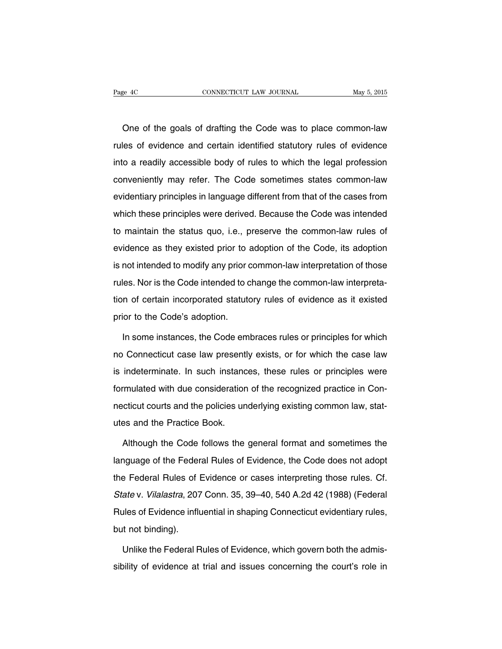One of the goals of drafting the Code was to place common-law rules of evidence and certain identified statutory rules of evidence into a readily accessible body of rules to which the legal profession conveniently may refer. The Code sometimes states common-law evidentiary principles in language different from that of the cases from which these principles were derived. Because the Code was intended to maintain the status quo, i.e., preserve the common-law rules of evidence as they existed prior to adoption of the Code, its adoption is not intended to modify any prior common-law interpretation of those rules. Nor is the Code intended to change the common-law interpretation of certain incorporated statutory rules of evidence as it existed prior to the Code's adoption.

In some instances, the Code embraces rules or principles for which no Connecticut case law presently exists, or for which the case law is indeterminate. In such instances, these rules or principles were formulated with due consideration of the recognized practice in Connecticut courts and the policies underlying existing common law, statutes and the Practice Book.

Although the Code follows the general format and sometimes the language of the Federal Rules of Evidence, the Code does not adopt the Federal Rules of Evidence or cases interpreting those rules. Cf. State v. Vilalastra, 207 Conn. 35, 39–40, 540 A.2d 42 (1988) (Federal Rules of Evidence influential in shaping Connecticut evidentiary rules, but not binding).

Unlike the Federal Rules of Evidence, which govern both the admissibility of evidence at trial and issues concerning the court's role in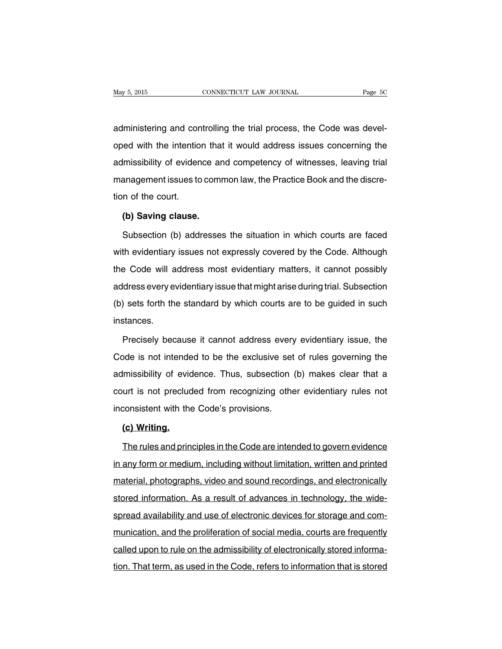administering and controlling the trial process, the Code was developed with the intention that it would address issues concerning the admissibility of evidence and competency of witnesses, leaving trial management issues to common law, the Practice Book and the discretion of the court.

# **(b) Saving clause.**

Subsection (b) addresses the situation in which courts are faced with evidentiary issues not expressly covered by the Code. Although the Code will address most evidentiary matters, it cannot possibly address every evidentiary issue that might arise during trial. Subsection (b) sets forth the standard by which courts are to be guided in such instances.

Precisely because it cannot address every evidentiary issue, the Code is not intended to be the exclusive set of rules governing the admissibility of evidence. Thus, subsection (b) makes clear that a court is not precluded from recognizing other evidentiary rules not inconsistent with the Code's provisions.

### **(c) Writing.**

The rules and principles in the Code are intended to govern evidence in any form or medium, including without limitation, written and printed material, photographs, video and sound recordings, and electronically stored information. As a result of advances in technology, the widespread availability and use of electronic devices for storage and communication, and the proliferation of social media, courts are frequently called upon to rule on the admissibility of electronically stored information. That term, as used in the Code, refers to information that is stored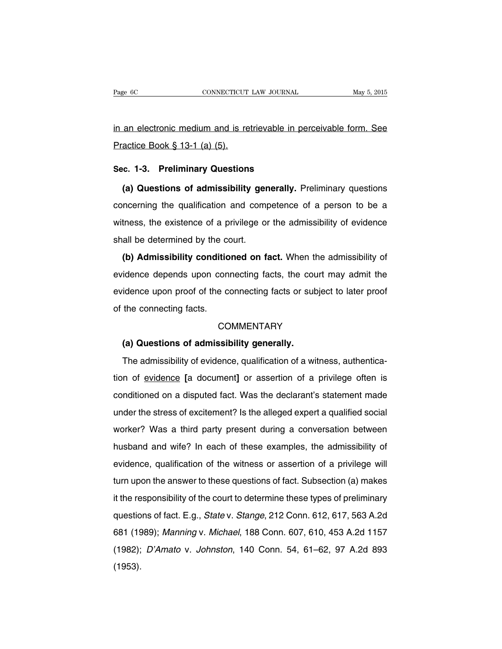in an electronic medium and is retrievable in perceivable form. See Practice Book § 13-1 (a) (5).

### **Sec. 1-3. Preliminary Questions**

**(a) Questions of admissibility generally.** Preliminary questions concerning the qualification and competence of a person to be a witness, the existence of a privilege or the admissibility of evidence shall be determined by the court.

**(b) Admissibility conditioned on fact.** When the admissibility of evidence depends upon connecting facts, the court may admit the evidence upon proof of the connecting facts or subject to later proof of the connecting facts.

### **COMMENTARY**

### **(a) Questions of admissibility generally.**

The admissibility of evidence, qualification of a witness, authentication of evidence **[**a document**]** or assertion of a privilege often is conditioned on a disputed fact. Was the declarant's statement made under the stress of excitement? Is the alleged expert a qualified social worker? Was a third party present during a conversation between husband and wife? In each of these examples, the admissibility of evidence, qualification of the witness or assertion of a privilege will turn upon the answer to these questions of fact. Subsection (a) makes it the responsibility of the court to determine these types of preliminary questions of fact. E.g., State v. Stange, 212 Conn. 612, 617, 563 A.2d 681 (1989); Manning v. Michael, 188 Conn. 607, 610, 453 A.2d 1157 (1982); D'Amato v. Johnston, 140 Conn. 54, 61–62, 97 A.2d 893 (1953).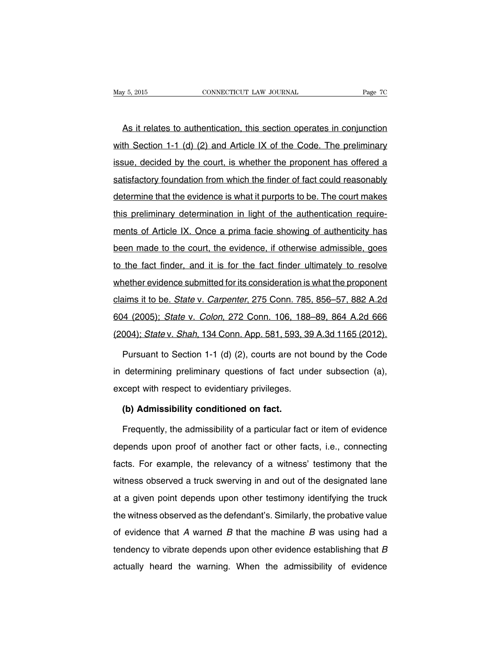As it relates to authentication, this section operates in conjunction with Section 1-1 (d) (2) and Article IX of the Code. The preliminary issue, decided by the court, is whether the proponent has offered a satisfactory foundation from which the finder of fact could reasonably determine that the evidence is what it purports to be. The court makes this preliminary determination in light of the authentication requirements of Article IX. Once a prima facie showing of authenticity has been made to the court, the evidence, if otherwise admissible, goes to the fact finder, and it is for the fact finder ultimately to resolve whether evidence submitted for its consideration is what the proponent claims it to be. State v. Carpenter, 275 Conn. 785, 856–57, 882 A.2d 604 (2005); State v. Colon, 272 Conn. 106, 188–89, 864 A.2d 666 (2004); State v. Shah, 134 Conn. App. 581, 593, 39 A.3d 1165 (2012).

Pursuant to Section 1-1 (d) (2), courts are not bound by the Code in determining preliminary questions of fact under subsection (a), except with respect to evidentiary privileges.

### **(b) Admissibility conditioned on fact.**

Frequently, the admissibility of a particular fact or item of evidence depends upon proof of another fact or other facts, i.e., connecting facts. For example, the relevancy of a witness' testimony that the witness observed a truck swerving in and out of the designated lane at a given point depends upon other testimony identifying the truck the witness observed as the defendant's. Similarly, the probative value of evidence that  $A$  warned  $B$  that the machine  $B$  was using had a tendency to vibrate depends upon other evidence establishing that B actually heard the warning. When the admissibility of evidence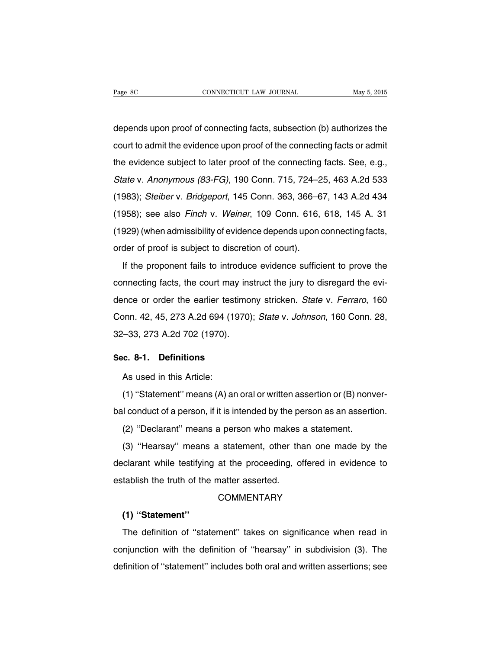depends upon proof of connecting facts, subsection (b) authorizes the court to admit the evidence upon proof of the connecting facts or admit the evidence subject to later proof of the connecting facts. See, e.g., State v. Anonymous (83-FG), 190 Conn. 715, 724–25, 463 A.2d 533 (1983); Steiber v. Bridgeport, 145 Conn. 363, 366–67, 143 A.2d 434 (1958); see also Finch v. Weiner, 109 Conn. 616, 618, 145 A. 31 (1929) (when admissibility of evidence depends upon connecting facts, order of proof is subject to discretion of court).

If the proponent fails to introduce evidence sufficient to prove the connecting facts, the court may instruct the jury to disregard the evidence or order the earlier testimony stricken. State v. Ferraro, 160 Conn. 42, 45, 273 A.2d 694 (1970); State v. Johnson, 160 Conn. 28, 32–33, 273 A.2d 702 (1970).

#### **Sec. 8-1. Definitions**

As used in this Article:

(1) ''Statement'' means (A) an oral or written assertion or (B) nonverbal conduct of a person, if it is intended by the person as an assertion.

(2) ''Declarant'' means a person who makes a statement.

(3) ''Hearsay'' means a statement, other than one made by the declarant while testifying at the proceeding, offered in evidence to establish the truth of the matter asserted.

### **COMMENTARY**

## **(1) ''Statement''**

The definition of ''statement'' takes on significance when read in conjunction with the definition of ''hearsay'' in subdivision (3). The definition of ''statement'' includes both oral and written assertions; see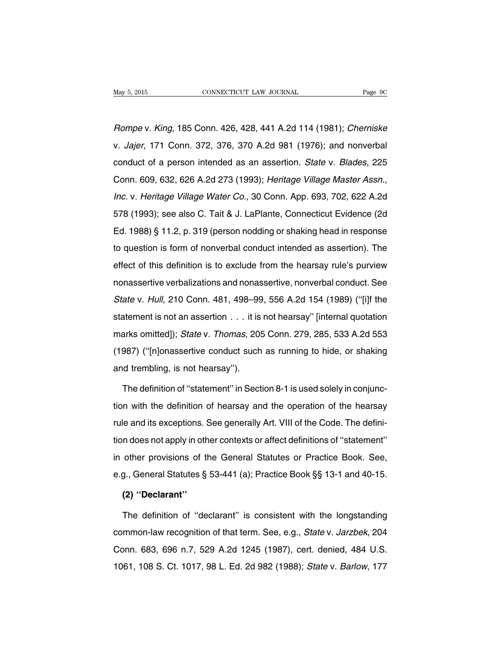Rompe v. King, 185 Conn. 426, 428, 441 A.2d 114 (1981); Cherniske v. Jajer, 171 Conn. 372, 376, 370 A.2d 981 (1976); and nonverbal conduct of a person intended as an assertion. State v. Blades, 225 Conn. 609, 632, 626 A.2d 273 (1993); Heritage Village Master Assn., Inc. v. Heritage Village Water Co., 30 Conn. App. 693, 702, 622 A.2d 578 (1993); see also C. Tait & J. LaPlante, Connecticut Evidence (2d Ed. 1988) § 11.2, p. 319 (person nodding or shaking head in response to question is form of nonverbal conduct intended as assertion). The effect of this definition is to exclude from the hearsay rule's purview nonassertive verbalizations and nonassertive, nonverbal conduct. See State v. Hull, 210 Conn. 481, 498–99, 556 A.2d 154 (1989) (''[i]f the statement is not an assertion . . . it is not hearsay'' [internal quotation marks omitted]); State v. Thomas, 205 Conn. 279, 285, 533 A.2d 553 (1987) (''[n]onassertive conduct such as running to hide, or shaking and trembling, is not hearsay'').

The definition of ''statement'' in Section 8-1 is used solely in conjunction with the definition of hearsay and the operation of the hearsay rule and its exceptions. See generally Art. VIII of the Code. The definition does not apply in other contexts or affect definitions of ''statement'' in other provisions of the General Statutes or Practice Book. See, e.g., General Statutes § 53-441 (a); Practice Book §§ 13-1 and 40-15.

### **(2) ''Declarant''**

The definition of ''declarant'' is consistent with the longstanding common-law recognition of that term. See, e.g., State v. Jarzbek, 204 Conn. 683, 696 n.7, 529 A.2d 1245 (1987), cert. denied, 484 U.S. 1061, 108 S. Ct. 1017, 98 L. Ed. 2d 982 (1988); State v. Barlow, 177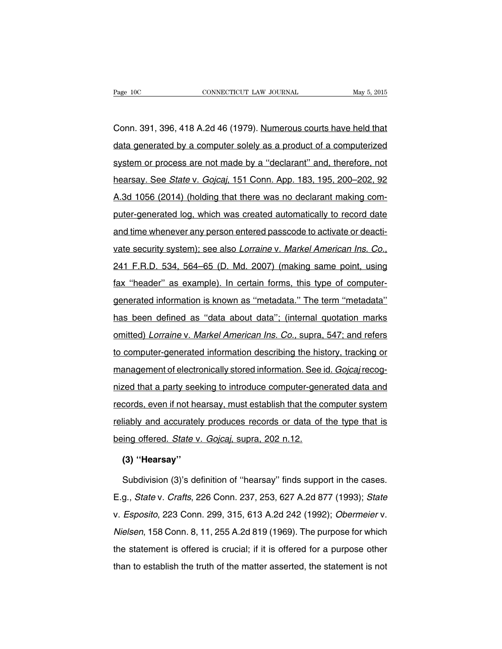Conn. 391, 396, 418 A.2d 46 (1979). Numerous courts have held that data generated by a computer solely as a product of a computerized system or process are not made by a ''declarant'' and, therefore, not hearsay. See State v. Gojcaj, 151 Conn. App. 183, 195, 200–202, 92 A.3d 1056 (2014) (holding that there was no declarant making computer-generated log, which was created automatically to record date and time whenever any person entered passcode to activate or deactivate security system); see also Lorraine v. Markel American Ins. Co., 241 F.R.D. 534, 564–65 (D. Md. 2007) (making same point, using fax ''header'' as example). In certain forms, this type of computergenerated information is known as ''metadata.'' The term ''metadata'' has been defined as ''data about data''; (internal quotation marks omitted) Lorraine v. Markel American Ins. Co., supra, 547; and refers to computer-generated information describing the history, tracking or management of electronically stored information. See id. Gojcaj recognized that a party seeking to introduce computer-generated data and records, even if not hearsay, must establish that the computer system reliably and accurately produces records or data of the type that is being offered. State v. Goicai, supra, 202 n.12.

### **(3) ''Hearsay''**

Subdivision (3)'s definition of ''hearsay'' finds support in the cases. E.g., State v. Crafts, 226 Conn. 237, 253, 627 A.2d 877 (1993); State v. Esposito, 223 Conn. 299, 315, 613 A.2d 242 (1992); Obermeier v. Nielsen, 158 Conn. 8, 11, 255 A.2d 819 (1969). The purpose for which the statement is offered is crucial; if it is offered for a purpose other than to establish the truth of the matter asserted, the statement is not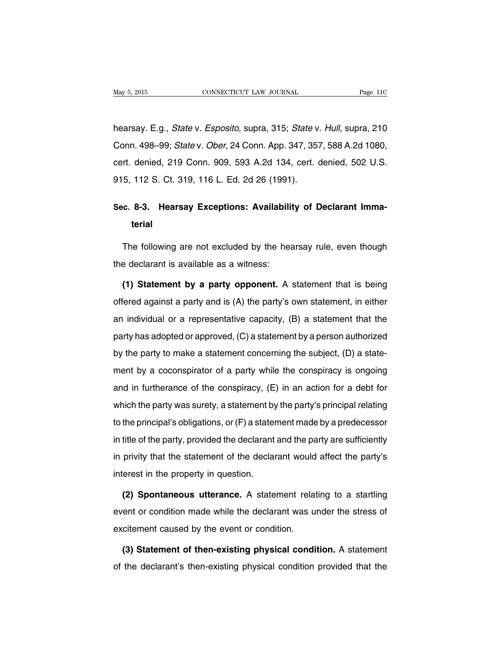hearsay. E.g., *State* v. *Esposito*, supra, 315; *State* v. Hull, supra, 210 Conn. 498–99; State v. Ober, 24 Conn. App. 347, 357, 588 A.2d 1080, cert. denied, 219 Conn. 909, 593 A.2d 134, cert. denied, 502 U.S. 915, 112 S. Ct. 319, 116 L. Ed. 2d 26 (1991).

# **Sec. 8-3. Hearsay Exceptions: Availability of Declarant Immaterial**

The following are not excluded by the hearsay rule, even though the declarant is available as a witness:

**(1) Statement by a party opponent.** A statement that is being offered against a party and is (A) the party's own statement, in either an individual or a representative capacity, (B) a statement that the party has adopted or approved, (C) a statement by a person authorized by the party to make a statement concerning the subject, (D) a statement by a coconspirator of a party while the conspiracy is ongoing and in furtherance of the conspiracy, (E) in an action for a debt for which the party was surety, a statement by the party's principal relating to the principal's obligations, or (F) a statement made by a predecessor in title of the party, provided the declarant and the party are sufficiently in privity that the statement of the declarant would affect the party's interest in the property in question.

**(2) Spontaneous utterance.** A statement relating to a startling event or condition made while the declarant was under the stress of excitement caused by the event or condition.

**(3) Statement of then-existing physical condition.** A statement of the declarant's then-existing physical condition provided that the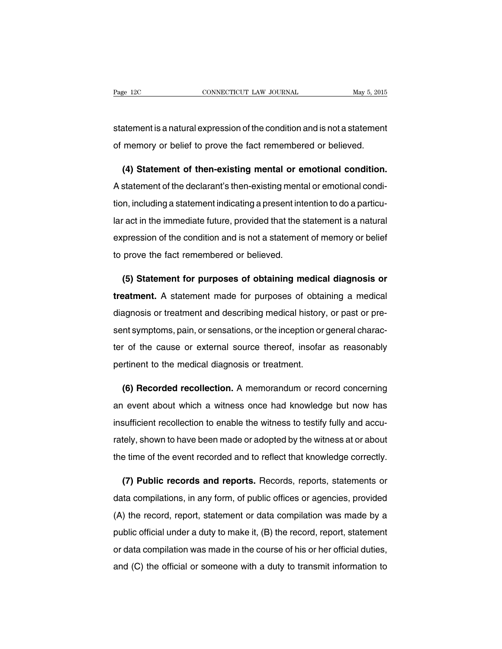statement is a natural expression of the condition and is not a statement of memory or belief to prove the fact remembered or believed.

**(4) Statement of then-existing mental or emotional condition.** A statement of the declarant's then-existing mental or emotional condition, including a statement indicating a present intention to do a particular act in the immediate future, provided that the statement is a natural expression of the condition and is not a statement of memory or belief to prove the fact remembered or believed.

**(5) Statement for purposes of obtaining medical diagnosis or treatment.** A statement made for purposes of obtaining a medical diagnosis or treatment and describing medical history, or past or present symptoms, pain, or sensations, or the inception or general character of the cause or external source thereof, insofar as reasonably pertinent to the medical diagnosis or treatment.

**(6) Recorded recollection.** A memorandum or record concerning an event about which a witness once had knowledge but now has insufficient recollection to enable the witness to testify fully and accurately, shown to have been made or adopted by the witness at or about the time of the event recorded and to reflect that knowledge correctly.

**(7) Public records and reports.** Records, reports, statements or data compilations, in any form, of public offices or agencies, provided (A) the record, report, statement or data compilation was made by a public official under a duty to make it, (B) the record, report, statement or data compilation was made in the course of his or her official duties, and (C) the official or someone with a duty to transmit information to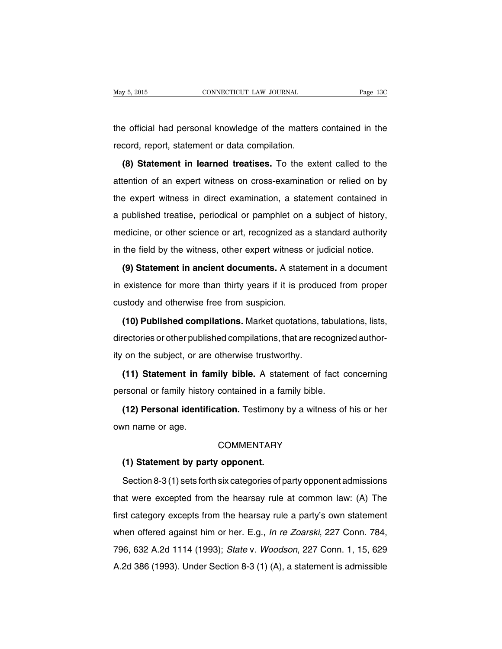the official had personal knowledge of the matters contained in the record, report, statement or data compilation.

**(8) Statement in learned treatises.** To the extent called to the attention of an expert witness on cross-examination or relied on by the expert witness in direct examination, a statement contained in a published treatise, periodical or pamphlet on a subject of history, medicine, or other science or art, recognized as a standard authority in the field by the witness, other expert witness or judicial notice.

**(9) Statement in ancient documents.** A statement in a document in existence for more than thirty years if it is produced from proper custody and otherwise free from suspicion.

**(10) Published compilations.** Market quotations, tabulations, lists, directories or other published compilations, that are recognized authority on the subject, or are otherwise trustworthy.

**(11) Statement in family bible.** A statement of fact concerning personal or family history contained in a family bible.

**(12) Personal identification.** Testimony by a witness of his or her own name or age.

### **COMMENTARY**

### **(1) Statement by party opponent.**

Section 8-3 (1) sets forth six categories of party opponent admissions that were excepted from the hearsay rule at common law: (A) The first category excepts from the hearsay rule a party's own statement when offered against him or her. E.g., *In re Zoarski*, 227 Conn. 784, 796, 632 A.2d 1114 (1993); State v. Woodson, 227 Conn. 1, 15, 629 A.2d 386 (1993). Under Section 8-3 (1) (A), a statement is admissible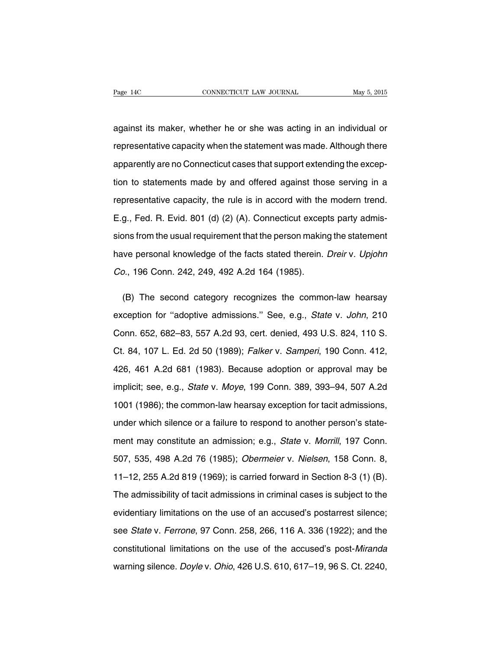against its maker, whether he or she was acting in an individual or representative capacity when the statement was made. Although there apparently are no Connecticut cases that support extending the exception to statements made by and offered against those serving in a representative capacity, the rule is in accord with the modern trend. E.g., Fed. R. Evid. 801 (d) (2) (A). Connecticut excepts party admissions from the usual requirement that the person making the statement have personal knowledge of the facts stated therein. Dreir v. Upjohn Co., 196 Conn. 242, 249, 492 A.2d 164 (1985).

(B) The second category recognizes the common-law hearsay exception for "adoptive admissions." See, e.g., State v. John, 210 Conn. 652, 682–83, 557 A.2d 93, cert. denied, 493 U.S. 824, 110 S. Ct. 84, 107 L. Ed. 2d 50 (1989); Falker v. Samperi, 190 Conn. 412, 426, 461 A.2d 681 (1983). Because adoption or approval may be implicit; see, e.g., State v. Moye, 199 Conn. 389, 393–94, 507 A.2d 1001 (1986); the common-law hearsay exception for tacit admissions, under which silence or a failure to respond to another person's statement may constitute an admission; e.g., State v. Morrill, 197 Conn. 507, 535, 498 A.2d 76 (1985); Obermeier v. Nielsen, 158 Conn. 8, 11–12, 255 A.2d 819 (1969); is carried forward in Section 8-3 (1) (B). The admissibility of tacit admissions in criminal cases is subject to the evidentiary limitations on the use of an accused's postarrest silence; see State v. Ferrone, 97 Conn. 258, 266, 116 A. 336 (1922); and the constitutional limitations on the use of the accused's post-Miranda warning silence. Doyle v. Ohio, 426 U.S. 610, 617–19, 96 S. Ct. 2240,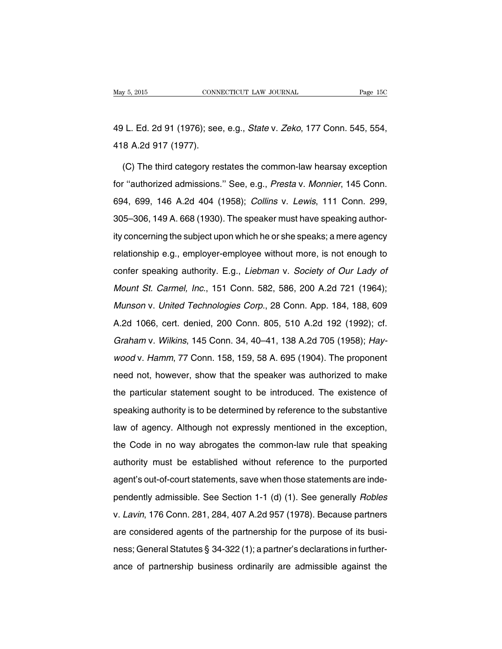49 L. Ed. 2d 91 (1976); see, e.g., State v. Zeko, 177 Conn. 545, 554, 418 A.2d 917 (1977).

(C) The third category restates the common-law hearsay exception for ''authorized admissions.'' See, e.g., Presta v. Monnier, 145 Conn. 694, 699, 146 A.2d 404 (1958); Collins v. Lewis, 111 Conn. 299, 305–306, 149 A. 668 (1930). The speaker must have speaking authority concerning the subject upon which he or she speaks; a mere agency relationship e.g., employer-employee without more, is not enough to confer speaking authority. E.g., Liebman v. Society of Our Lady of Mount St. Carmel, Inc., 151 Conn. 582, 586, 200 A.2d 721 (1964); Munson v. United Technologies Corp., 28 Conn. App. 184, 188, 609 A.2d 1066, cert. denied, 200 Conn. 805, 510 A.2d 192 (1992); cf. Graham v. Wilkins, 145 Conn. 34, 40–41, 138 A.2d 705 (1958); Haywood v. Hamm, 77 Conn. 158, 159, 58 A. 695 (1904). The proponent need not, however, show that the speaker was authorized to make the particular statement sought to be introduced. The existence of speaking authority is to be determined by reference to the substantive law of agency. Although not expressly mentioned in the exception, the Code in no way abrogates the common-law rule that speaking authority must be established without reference to the purported agent's out-of-court statements, save when those statements are independently admissible. See Section 1-1 (d) (1). See generally Robles v. Lavin, 176 Conn. 281, 284, 407 A.2d 957 (1978). Because partners are considered agents of the partnership for the purpose of its business; General Statutes § 34-322 (1); a partner's declarations in furtherance of partnership business ordinarily are admissible against the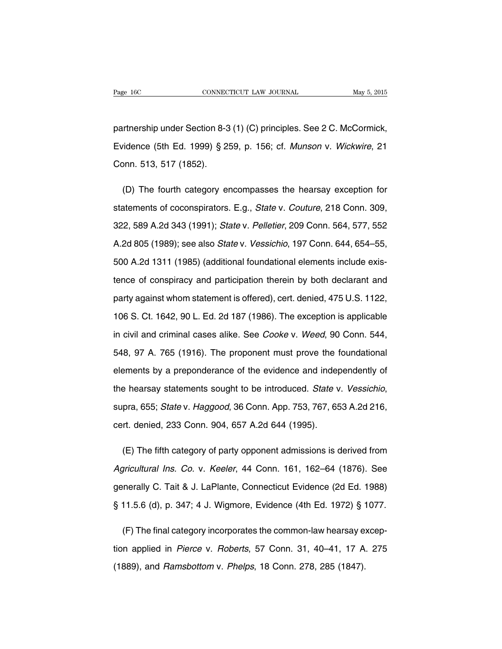partnership under Section 8-3 (1) (C) principles. See 2 C. McCormick, Evidence (5th Ed. 1999) § 259, p. 156; cf. Munson v. Wickwire, 21 Conn. 513, 517 (1852).

(D) The fourth category encompasses the hearsay exception for statements of coconspirators. E.g., State v. Couture, 218 Conn. 309, 322, 589 A.2d 343 (1991); State v. Pelletier, 209 Conn. 564, 577, 552 A.2d 805 (1989); see also State v. Vessichio, 197 Conn. 644, 654–55, 500 A.2d 1311 (1985) (additional foundational elements include existence of conspiracy and participation therein by both declarant and party against whom statement is offered), cert. denied, 475 U.S. 1122, 106 S. Ct. 1642, 90 L. Ed. 2d 187 (1986). The exception is applicable in civil and criminal cases alike. See Cooke v. Weed, 90 Conn. 544, 548, 97 A. 765 (1916). The proponent must prove the foundational elements by a preponderance of the evidence and independently of the hearsay statements sought to be introduced. State v. Vessichio, supra, 655; State v. Haggood, 36 Conn. App. 753, 767, 653 A.2d 216, cert. denied, 233 Conn. 904, 657 A.2d 644 (1995).

(E) The fifth category of party opponent admissions is derived from Agricultural Ins. Co. v. Keeler, 44 Conn. 161, 162–64 (1876). See generally C. Tait & J. LaPlante, Connecticut Evidence (2d Ed. 1988) § 11.5.6 (d), p. 347; 4 J. Wigmore, Evidence (4th Ed. 1972) § 1077.

(F) The final category incorporates the common-law hearsay exception applied in Pierce v. Roberts, 57 Conn. 31, 40–41, 17 A. 275 (1889), and Ramsbottom v. Phelps, 18 Conn. 278, 285 (1847).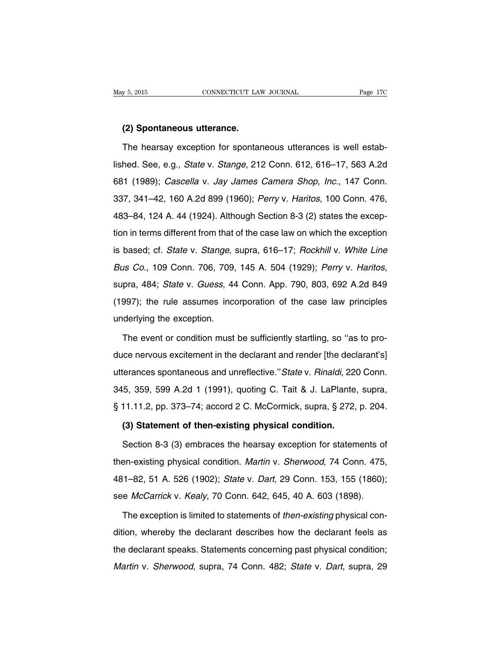#### **(2) Spontaneous utterance.**

The hearsay exception for spontaneous utterances is well established. See, e.g., State v. Stange, 212 Conn. 612, 616–17, 563 A.2d 681 (1989); Cascella v. Jay James Camera Shop, Inc., 147 Conn. 337, 341–42, 160 A.2d 899 (1960); Perry v. Haritos, 100 Conn. 476, 483–84, 124 A. 44 (1924). Although Section 8-3 (2) states the exception in terms different from that of the case law on which the exception is based; cf. State v. Stange, supra, 616–17; Rockhill v. White Line Bus Co., 109 Conn. 706, 709, 145 A. 504 (1929); Perry v. Haritos, supra, 484; State v. Guess, 44 Conn. App. 790, 803, 692 A.2d 849 (1997); the rule assumes incorporation of the case law principles underlying the exception.

The event or condition must be sufficiently startling, so ''as to produce nervous excitement in the declarant and render [the declarant's] utterances spontaneous and unreflective.''State v. Rinaldi, 220 Conn. 345, 359, 599 A.2d 1 (1991), quoting C. Tait & J. LaPlante, supra, § 11.11.2, pp. 373–74; accord 2 C. McCormick, supra, § 272, p. 204.

### **(3) Statement of then-existing physical condition.**

Section 8-3 (3) embraces the hearsay exception for statements of then-existing physical condition. Martin v. Sherwood, 74 Conn. 475, 481–82, 51 A. 526 (1902); State v. Dart, 29 Conn. 153, 155 (1860); see McCarrick v. Kealy, 70 Conn. 642, 645, 40 A. 603 (1898).

The exception is limited to statements of then-existing physical condition, whereby the declarant describes how the declarant feels as the declarant speaks. Statements concerning past physical condition; Martin v. Sherwood, supra, 74 Conn. 482; State v. Dart, supra, 29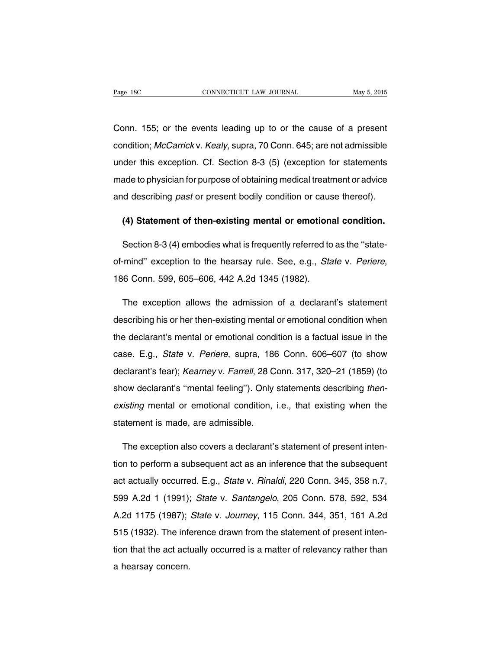Conn. 155; or the events leading up to or the cause of a present condition; McCarrick v. Kealy, supra, 70 Conn. 645; are not admissible under this exception. Cf. Section 8-3 (5) (exception for statements made to physician for purpose of obtaining medical treatment or advice and describing past or present bodily condition or cause thereof).

### **(4) Statement of then-existing mental or emotional condition.**

Section 8-3 (4) embodies what is frequently referred to as the ''stateof-mind'' exception to the hearsay rule. See, e.g., State v. Periere, 186 Conn. 599, 605–606, 442 A.2d 1345 (1982).

The exception allows the admission of a declarant's statement describing his or her then-existing mental or emotional condition when the declarant's mental or emotional condition is a factual issue in the case. E.g., State v. Periere, supra, 186 Conn. 606–607 (to show declarant's fear); Kearney v. Farrell, 28 Conn. 317, 320–21 (1859) (to show declarant's "mental feeling"). Only statements describing thenexisting mental or emotional condition, i.e., that existing when the statement is made, are admissible.

The exception also covers a declarant's statement of present intention to perform a subsequent act as an inference that the subsequent act actually occurred. E.g., State v. Rinaldi, 220 Conn. 345, 358 n.7, 599 A.2d 1 (1991); State v. Santangelo, 205 Conn. 578, 592, 534 A.2d 1175 (1987); State v. Journey, 115 Conn. 344, 351, 161 A.2d 515 (1932). The inference drawn from the statement of present intention that the act actually occurred is a matter of relevancy rather than a hearsay concern.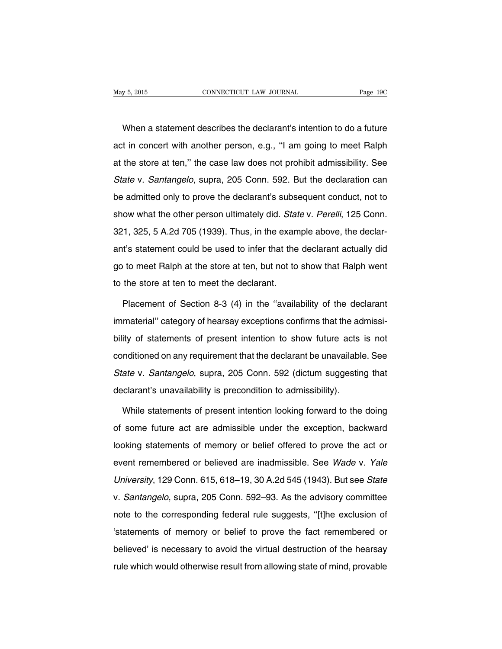When a statement describes the declarant's intention to do a future act in concert with another person, e.g., ''I am going to meet Ralph at the store at ten,'' the case law does not prohibit admissibility. See State v. Santangelo, supra, 205 Conn. 592. But the declaration can be admitted only to prove the declarant's subsequent conduct, not to show what the other person ultimately did. State v. Perelli, 125 Conn. 321, 325, 5 A.2d 705 (1939). Thus, in the example above, the declarant's statement could be used to infer that the declarant actually did go to meet Ralph at the store at ten, but not to show that Ralph went to the store at ten to meet the declarant.

Placement of Section 8-3 (4) in the "availability of the declarant immaterial'' category of hearsay exceptions confirms that the admissibility of statements of present intention to show future acts is not conditioned on any requirement that the declarant be unavailable. See State v. Santangelo, supra, 205 Conn. 592 (dictum suggesting that declarant's unavailability is precondition to admissibility).

While statements of present intention looking forward to the doing of some future act are admissible under the exception, backward looking statements of memory or belief offered to prove the act or event remembered or believed are inadmissible. See Wade v. Yale University, 129 Conn. 615, 618–19, 30 A.2d 545 (1943). But see State v. Santangelo, supra, 205 Conn. 592–93. As the advisory committee note to the corresponding federal rule suggests, ''[t]he exclusion of 'statements of memory or belief to prove the fact remembered or believed' is necessary to avoid the virtual destruction of the hearsay rule which would otherwise result from allowing state of mind, provable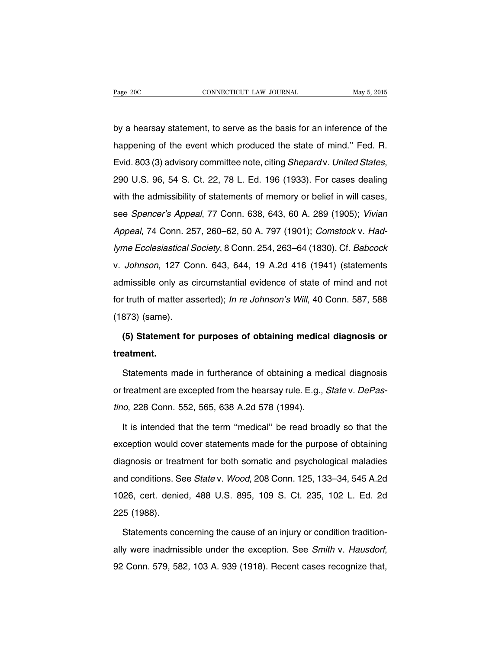by a hearsay statement, to serve as the basis for an inference of the happening of the event which produced the state of mind.'' Fed. R. Evid. 803 (3) advisory committee note, citing Shepard v. United States, 290 U.S. 96, 54 S. Ct. 22, 78 L. Ed. 196 (1933). For cases dealing with the admissibility of statements of memory or belief in will cases, see Spencer's Appeal, 77 Conn. 638, 643, 60 A. 289 (1905); Vivian Appeal, 74 Conn. 257, 260–62, 50 A. 797 (1901); Comstock v. Hadlyme Ecclesiastical Society, 8 Conn. 254, 263–64 (1830). Cf. Babcock v. Johnson, 127 Conn. 643, 644, 19 A.2d 416 (1941) (statements admissible only as circumstantial evidence of state of mind and not for truth of matter asserted); In re Johnson's Will, 40 Conn. 587, 588 (1873) (same).

# **(5) Statement for purposes of obtaining medical diagnosis or treatment.**

Statements made in furtherance of obtaining a medical diagnosis or treatment are excepted from the hearsay rule. E.g., State v. DePastino, 228 Conn. 552, 565, 638 A.2d 578 (1994).

It is intended that the term ''medical'' be read broadly so that the exception would cover statements made for the purpose of obtaining diagnosis or treatment for both somatic and psychological maladies and conditions. See State v. Wood, 208 Conn. 125, 133–34, 545 A.2d 1026, cert. denied, 488 U.S. 895, 109 S. Ct. 235, 102 L. Ed. 2d 225 (1988).

Statements concerning the cause of an injury or condition traditionally were inadmissible under the exception. See Smith v. Hausdorf, 92 Conn. 579, 582, 103 A. 939 (1918). Recent cases recognize that,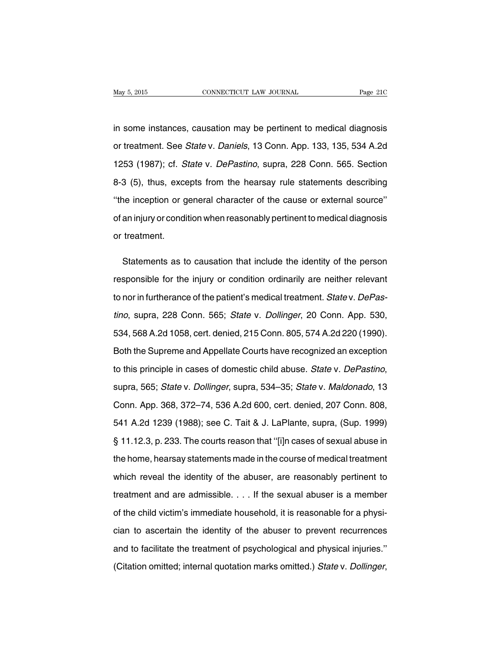in some instances, causation may be pertinent to medical diagnosis or treatment. See State v. Daniels, 13 Conn. App. 133, 135, 534 A.2d 1253 (1987); cf. State v. DePastino, supra, 228 Conn. 565. Section 8-3 (5), thus, excepts from the hearsay rule statements describing ''the inception or general character of the cause or external source'' of an injury or condition when reasonably pertinent to medical diagnosis or treatment.

Statements as to causation that include the identity of the person responsible for the injury or condition ordinarily are neither relevant to nor in furtherance of the patient's medical treatment. State v. DePastino, supra, 228 Conn. 565; State v. Dollinger, 20 Conn. App. 530, 534, 568 A.2d 1058, cert. denied, 215 Conn. 805, 574 A.2d 220 (1990). Both the Supreme and Appellate Courts have recognized an exception to this principle in cases of domestic child abuse. State v. DePastino, supra, 565; State v. Dollinger, supra, 534–35; State v. Maldonado, 13 Conn. App. 368, 372–74, 536 A.2d 600, cert. denied, 207 Conn. 808, 541 A.2d 1239 (1988); see C. Tait & J. LaPlante, supra, (Sup. 1999) § 11.12.3, p. 233. The courts reason that "[i]n cases of sexual abuse in the home, hearsay statements made in the course of medical treatment which reveal the identity of the abuser, are reasonably pertinent to treatment and are admissible. . . . If the sexual abuser is a member of the child victim's immediate household, it is reasonable for a physician to ascertain the identity of the abuser to prevent recurrences and to facilitate the treatment of psychological and physical injuries.'' (Citation omitted; internal quotation marks omitted.) State v. Dollinger,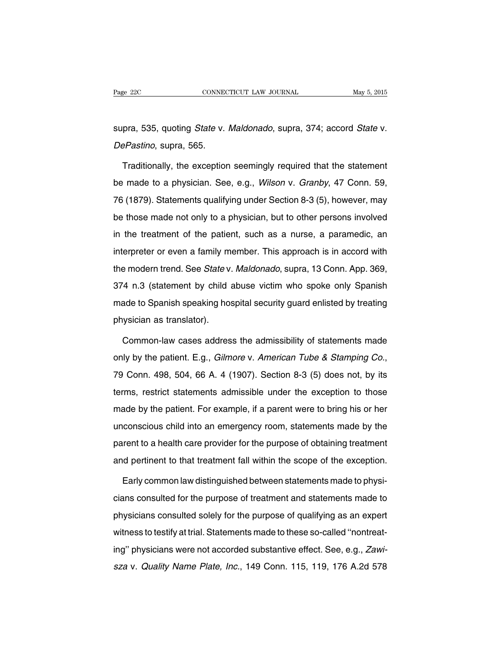supra, 535, quoting *State v. Maldonado*, supra, 374; accord *State v.* DePastino, supra, 565.

Traditionally, the exception seemingly required that the statement be made to a physician. See, e.g., Wilson v. Granby, 47 Conn. 59, 76 (1879). Statements qualifying under Section 8-3 (5), however, may be those made not only to a physician, but to other persons involved in the treatment of the patient, such as a nurse, a paramedic, an interpreter or even a family member. This approach is in accord with the modern trend. See State v. Maldonado, supra, 13 Conn. App. 369, 374 n.3 (statement by child abuse victim who spoke only Spanish made to Spanish speaking hospital security guard enlisted by treating physician as translator).

Common-law cases address the admissibility of statements made only by the patient. E.g., Gilmore v. American Tube & Stamping Co., 79 Conn. 498, 504, 66 A. 4 (1907). Section 8-3 (5) does not, by its terms, restrict statements admissible under the exception to those made by the patient. For example, if a parent were to bring his or her unconscious child into an emergency room, statements made by the parent to a health care provider for the purpose of obtaining treatment and pertinent to that treatment fall within the scope of the exception.

Early common law distinguished between statements made to physicians consulted for the purpose of treatment and statements made to physicians consulted solely for the purpose of qualifying as an expert witness to testify at trial. Statements made to these so-called ''nontreating'' physicians were not accorded substantive effect. See, e.g., Zawisza v. Quality Name Plate, Inc., 149 Conn. 115, 119, 176 A.2d 578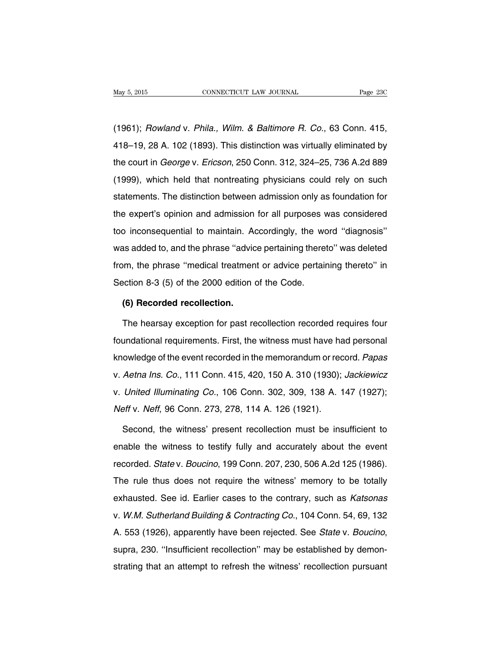(1961); Rowland v. Phila., Wilm. & Baltimore R. Co., 63 Conn. 415, 418–19, 28 A. 102 (1893). This distinction was virtually eliminated by the court in George v. Ericson, 250 Conn. 312, 324–25, 736 A.2d 889 (1999), which held that nontreating physicians could rely on such statements. The distinction between admission only as foundation for the expert's opinion and admission for all purposes was considered too inconsequential to maintain. Accordingly, the word ''diagnosis'' was added to, and the phrase ''advice pertaining thereto'' was deleted from, the phrase ''medical treatment or advice pertaining thereto'' in Section 8-3 (5) of the 2000 edition of the Code.

### **(6) Recorded recollection.**

The hearsay exception for past recollection recorded requires four foundational requirements. First, the witness must have had personal knowledge of the event recorded in the memorandum or record. Papas v. Aetna Ins. Co., 111 Conn. 415, 420, 150 A. 310 (1930); Jackiewicz v. United Illuminating Co., 106 Conn. 302, 309, 138 A. 147 (1927); Neff v. Neff, 96 Conn. 273, 278, 114 A. 126 (1921).

Second, the witness' present recollection must be insufficient to enable the witness to testify fully and accurately about the event recorded. State v. Boucino, 199 Conn. 207, 230, 506 A.2d 125 (1986). The rule thus does not require the witness' memory to be totally exhausted. See id. Earlier cases to the contrary, such as Katsonas v. W.M. Sutherland Building & Contracting Co., 104 Conn. 54, 69, 132 A. 553 (1926), apparently have been rejected. See State v. Boucino, supra, 230. ''Insufficient recollection'' may be established by demonstrating that an attempt to refresh the witness' recollection pursuant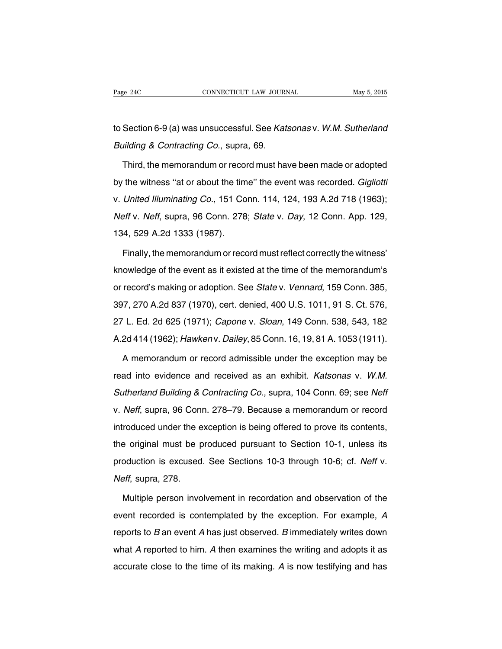to Section 6-9 (a) was unsuccessful. See Katsonas v. W.M. Sutherland Building & Contracting Co., supra, 69.

Third, the memorandum or record must have been made or adopted by the witness ''at or about the time'' the event was recorded. Gigliotti v. United Illuminating Co., 151 Conn. 114, 124, 193 A.2d 718 (1963); Neff v. Neff, supra, 96 Conn. 278; State v. Day, 12 Conn. App. 129, 134, 529 A.2d 1333 (1987).

Finally, the memorandum or record must reflect correctly the witness' knowledge of the event as it existed at the time of the memorandum's or record's making or adoption. See State v. Vennard, 159 Conn. 385, 397, 270 A.2d 837 (1970), cert. denied, 400 U.S. 1011, 91 S. Ct. 576, 27 L. Ed. 2d 625 (1971); Capone v. Sloan, 149 Conn. 538, 543, 182 A.2d 414 (1962); Hawken v. Dailey, 85 Conn. 16, 19, 81 A. 1053 (1911).

A memorandum or record admissible under the exception may be read into evidence and received as an exhibit. Katsonas v. W.M. Sutherland Building & Contracting Co., supra, 104 Conn. 69; see Neff v. Neff, supra, 96 Conn. 278–79. Because a memorandum or record introduced under the exception is being offered to prove its contents, the original must be produced pursuant to Section 10-1, unless its production is excused. See Sections 10-3 through 10-6; cf. Neff v. Neff, supra, 278.

Multiple person involvement in recordation and observation of the event recorded is contemplated by the exception. For example, A reports to  $B$  an event  $A$  has just observed.  $B$  immediately writes down what A reported to him. A then examines the writing and adopts it as accurate close to the time of its making. A is now testifying and has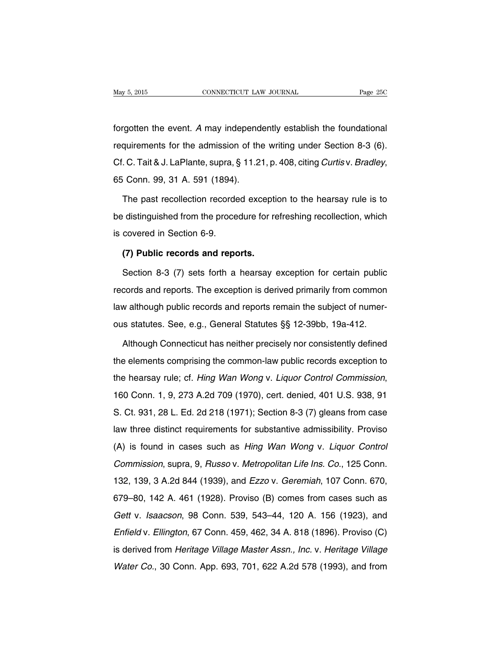forgotten the event. A may independently establish the foundational requirements for the admission of the writing under Section 8-3 (6). Cf. C. Tait & J. LaPlante, supra,  $\S$  11.21, p. 408, citing Curtis v. Bradley, 65 Conn. 99, 31 A. 591 (1894).

The past recollection recorded exception to the hearsay rule is to be distinguished from the procedure for refreshing recollection, which is covered in Section 6-9.

### **(7) Public records and reports.**

Section 8-3 (7) sets forth a hearsay exception for certain public records and reports. The exception is derived primarily from common law although public records and reports remain the subject of numerous statutes. See, e.g., General Statutes §§ 12-39bb, 19a-412.

Although Connecticut has neither precisely nor consistently defined the elements comprising the common-law public records exception to the hearsay rule; cf. Hing Wan Wong v. Liquor Control Commission, 160 Conn. 1, 9, 273 A.2d 709 (1970), cert. denied, 401 U.S. 938, 91 S. Ct. 931, 28 L. Ed. 2d 218 (1971); Section 8-3 (7) gleans from case law three distinct requirements for substantive admissibility. Proviso (A) is found in cases such as Hing Wan Wong v. Liquor Control Commission, supra, 9, Russo v. Metropolitan Life Ins. Co., 125 Conn. 132, 139, 3 A.2d 844 (1939), and Ezzo v. Geremiah, 107 Conn. 670, 679–80, 142 A. 461 (1928). Proviso (B) comes from cases such as Gett v. Isaacson, 98 Conn. 539, 543–44, 120 A. 156 (1923), and Enfield v. Ellington, 67 Conn. 459, 462, 34 A. 818 (1896). Proviso (C) is derived from Heritage Village Master Assn., Inc. v. Heritage Village Water Co., 30 Conn. App. 693, 701, 622 A.2d 578 (1993), and from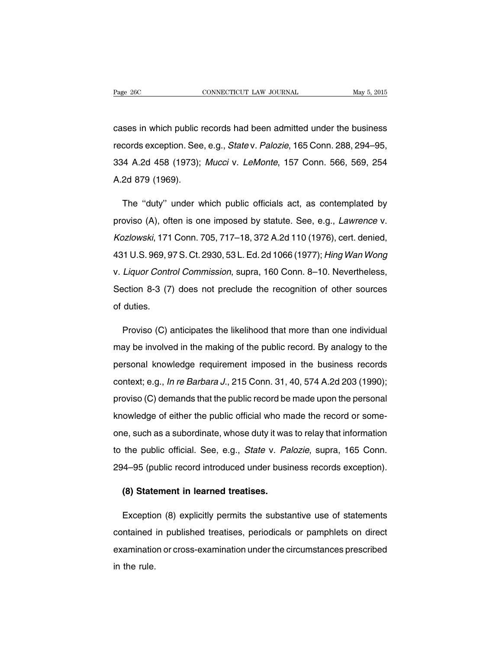cases in which public records had been admitted under the business records exception. See, e.g., State v. Palozie, 165 Conn. 288, 294–95, 334 A.2d 458 (1973); Mucci v. LeMonte, 157 Conn. 566, 569, 254 A.2d 879 (1969).

The ''duty'' under which public officials act, as contemplated by proviso (A), often is one imposed by statute. See, e.g., Lawrence v. Kozlowski, 171 Conn. 705, 717–18, 372 A.2d 110 (1976), cert. denied, 431 U.S. 969, 97 S. Ct. 2930, 53 L. Ed. 2d 1066 (1977); Hing Wan Wong v. Liquor Control Commission, supra, 160 Conn. 8–10. Nevertheless, Section 8-3 (7) does not preclude the recognition of other sources of duties.

Proviso (C) anticipates the likelihood that more than one individual may be involved in the making of the public record. By analogy to the personal knowledge requirement imposed in the business records context; e.g., In re Barbara J., 215 Conn. 31, 40, 574 A.2d 203 (1990); proviso (C) demands that the public record be made upon the personal knowledge of either the public official who made the record or someone, such as a subordinate, whose duty it was to relay that information to the public official. See, e.g., State v. Palozie, supra, 165 Conn. 294–95 (public record introduced under business records exception).

### **(8) Statement in learned treatises.**

Exception (8) explicitly permits the substantive use of statements contained in published treatises, periodicals or pamphlets on direct examination or cross-examination under the circumstances prescribed in the rule.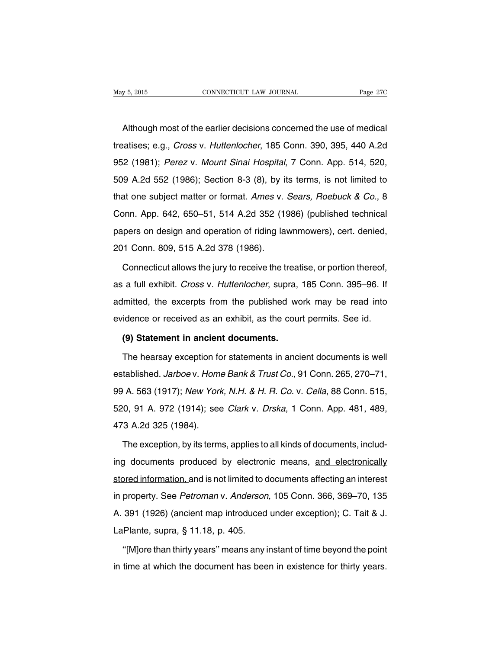Although most of the earlier decisions concerned the use of medical treatises; e.g., Cross v. Huttenlocher, 185 Conn. 390, 395, 440 A.2d 952 (1981); Perez v. Mount Sinai Hospital, 7 Conn. App. 514, 520, 509 A.2d 552 (1986); Section 8-3 (8), by its terms, is not limited to that one subject matter or format. Ames v. Sears, Roebuck & Co., 8 Conn. App. 642, 650–51, 514 A.2d 352 (1986) (published technical papers on design and operation of riding lawnmowers), cert. denied, 201 Conn. 809, 515 A.2d 378 (1986).

Connecticut allows the jury to receive the treatise, or portion thereof, as a full exhibit. Cross v. Huttenlocher, supra, 185 Conn. 395–96. If admitted, the excerpts from the published work may be read into evidence or received as an exhibit, as the court permits. See id.

### **(9) Statement in ancient documents.**

The hearsay exception for statements in ancient documents is well established. Jarboe v. Home Bank & Trust Co., 91 Conn. 265, 270-71, 99 A. 563 (1917); New York, N.H. & H. R. Co. v. Cella, 88 Conn. 515, 520, 91 A. 972 (1914); see Clark v. Drska, 1 Conn. App. 481, 489, 473 A.2d 325 (1984).

The exception, by its terms, applies to all kinds of documents, including documents produced by electronic means, and electronically stored information, and is not limited to documents affecting an interest in property. See Petroman v. Anderson, 105 Conn. 366, 369–70, 135 A. 391 (1926) (ancient map introduced under exception); C. Tait & J. LaPlante, supra, § 11.18, p. 405.

''[M]ore than thirty years'' means any instant of time beyond the point in time at which the document has been in existence for thirty years.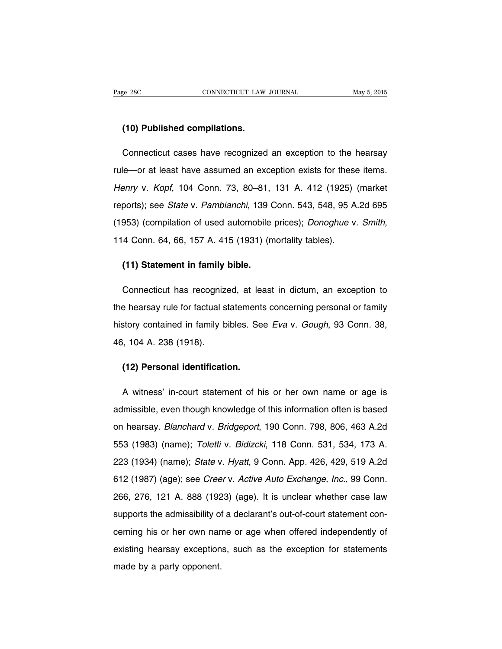### **(10) Published compilations.**

Connecticut cases have recognized an exception to the hearsay rule—or at least have assumed an exception exists for these items. Henry v. Kopf, 104 Conn. 73, 80–81, 131 A. 412 (1925) (market reports); see State v. Pambianchi, 139 Conn. 543, 548, 95 A.2d 695 (1953) (compilation of used automobile prices); Donoghue v. Smith, 114 Conn. 64, 66, 157 A. 415 (1931) (mortality tables).

### **(11) Statement in family bible.**

Connecticut has recognized, at least in dictum, an exception to the hearsay rule for factual statements concerning personal or family history contained in family bibles. See Eva v. Gough, 93 Conn. 38, 46, 104 A. 238 (1918).

### **(12) Personal identification.**

A witness' in-court statement of his or her own name or age is admissible, even though knowledge of this information often is based on hearsay. Blanchard v. Bridgeport, 190 Conn. 798, 806, 463 A.2d 553 (1983) (name); Toletti v. Bidizcki, 118 Conn. 531, 534, 173 A. 223 (1934) (name); State v. Hyatt, 9 Conn. App. 426, 429, 519 A.2d 612 (1987) (age); see Creer v. Active Auto Exchange, Inc., 99 Conn. 266, 276, 121 A. 888 (1923) (age). It is unclear whether case law supports the admissibility of a declarant's out-of-court statement concerning his or her own name or age when offered independently of existing hearsay exceptions, such as the exception for statements made by a party opponent.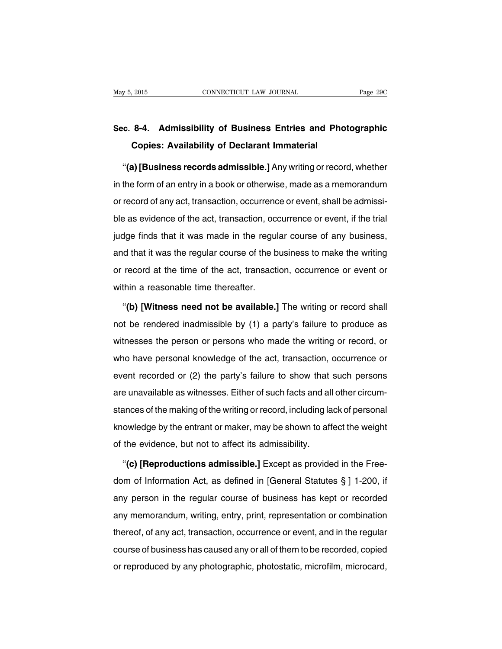# **Sec. 8-4. Admissibility of Business Entries and Photographic Copies: Availability of Declarant Immaterial**

''**(a) [Business records admissible.]** Any writing or record, whether in the form of an entry in a book or otherwise, made as a memorandum or record of any act, transaction, occurrence or event, shall be admissible as evidence of the act, transaction, occurrence or event, if the trial judge finds that it was made in the regular course of any business, and that it was the regular course of the business to make the writing or record at the time of the act, transaction, occurrence or event or within a reasonable time thereafter.

''**(b) [Witness need not be available.]** The writing or record shall not be rendered inadmissible by (1) a party's failure to produce as witnesses the person or persons who made the writing or record, or who have personal knowledge of the act, transaction, occurrence or event recorded or (2) the party's failure to show that such persons are unavailable as witnesses. Either of such facts and all other circumstances of the making of the writing or record, including lack of personal knowledge by the entrant or maker, may be shown to affect the weight of the evidence, but not to affect its admissibility.

''**(c) [Reproductions admissible.]** Except as provided in the Freedom of Information Act, as defined in [General Statutes § ] 1-200, if any person in the regular course of business has kept or recorded any memorandum, writing, entry, print, representation or combination thereof, of any act, transaction, occurrence or event, and in the regular course of business has caused any or all of them to be recorded, copied or reproduced by any photographic, photostatic, microfilm, microcard,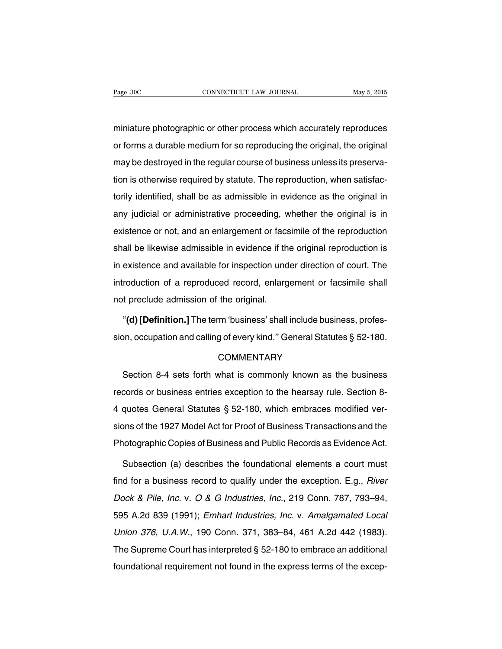miniature photographic or other process which accurately reproduces or forms a durable medium for so reproducing the original, the original may be destroyed in the regular course of business unless its preservation is otherwise required by statute. The reproduction, when satisfactorily identified, shall be as admissible in evidence as the original in any judicial or administrative proceeding, whether the original is in existence or not, and an enlargement or facsimile of the reproduction shall be likewise admissible in evidence if the original reproduction is in existence and available for inspection under direction of court. The introduction of a reproduced record, enlargement or facsimile shall not preclude admission of the original.

''**(d) [Definition.]** The term 'business' shall include business, profession, occupation and calling of every kind.'' General Statutes § 52-180.

### **COMMENTARY**

Section 8-4 sets forth what is commonly known as the business records or business entries exception to the hearsay rule. Section 8- 4 quotes General Statutes § 52-180, which embraces modified versions of the 1927 Model Act for Proof of Business Transactions and the Photographic Copies of Business and Public Records as Evidence Act.

Subsection (a) describes the foundational elements a court must find for a business record to qualify under the exception. E.g., River Dock & Pile, Inc. v. O & G Industries, Inc., 219 Conn. 787, 793–94, 595 A.2d 839 (1991); Emhart Industries, Inc. v. Amalgamated Local Union 376, U.A.W., 190 Conn. 371, 383–84, 461 A.2d 442 (1983). The Supreme Court has interpreted § 52-180 to embrace an additional foundational requirement not found in the express terms of the excep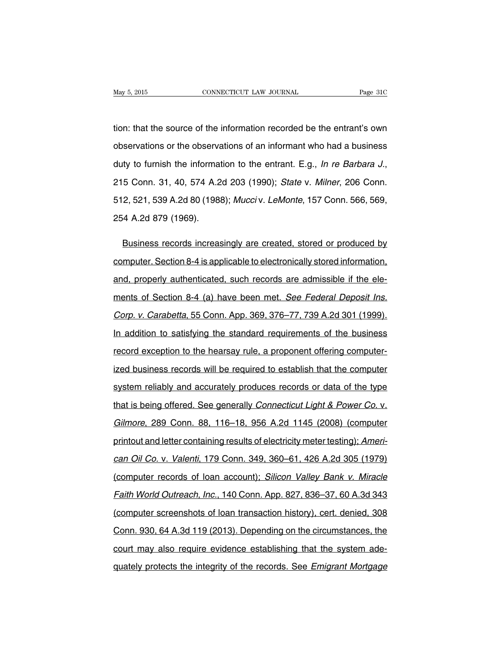tion: that the source of the information recorded be the entrant's own observations or the observations of an informant who had a business duty to furnish the information to the entrant. E.g., *In re Barbara J.*, 215 Conn. 31, 40, 574 A.2d 203 (1990); State v. Milner, 206 Conn. 512, 521, 539 A.2d 80 (1988); Mucci v. LeMonte, 157 Conn. 566, 569, 254 A.2d 879 (1969).

Business records increasingly are created, stored or produced by computer. Section 8-4 is applicable to electronically stored information, and, properly authenticated, such records are admissible if the elements of Section 8-4 (a) have been met. See Federal Deposit Ins. Corp. v. Carabetta, 55 Conn. App. 369, 376–77, 739 A.2d 301 (1999). In addition to satisfying the standard requirements of the business record exception to the hearsay rule, a proponent offering computerized business records will be required to establish that the computer system reliably and accurately produces records or data of the type that is being offered. See generally Connecticut Light & Power Co. v. Gilmore, 289 Conn. 88, 116–18, 956 A.2d 1145 (2008) (computer printout and letter containing results of electricity meter testing); American Oil Co. v. Valenti, 179 Conn. 349, 360–61, 426 A.2d 305 (1979) (computer records of loan account); Silicon Valley Bank v. Miracle Faith World Outreach, Inc., 140 Conn. App. 827, 836–37, 60 A.3d 343 (computer screenshots of loan transaction history), cert. denied, 308 Conn. 930, 64 A.3d 119 (2013). Depending on the circumstances, the court may also require evidence establishing that the system adequately protects the integrity of the records. See Emigrant Mortgage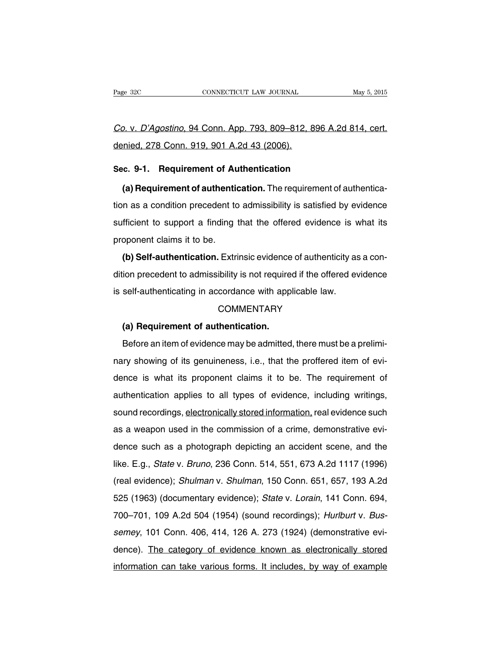Co. v. D'Agostino, 94 Conn. App. 793, 809–812, 896 A.2d 814, cert. denied, 278 Conn. 919, 901 A.2d 43 (2006).

### **Sec. 9-1. Requirement of Authentication**

**(a) Requirement of authentication.** The requirement of authentication as a condition precedent to admissibility is satisfied by evidence sufficient to support a finding that the offered evidence is what its proponent claims it to be.

**(b) Self-authentication.** Extrinsic evidence of authenticity as a condition precedent to admissibility is not required if the offered evidence is self-authenticating in accordance with applicable law.

#### **COMMENTARY**

### **(a) Requirement of authentication.**

Before an item of evidence may be admitted, there must be a preliminary showing of its genuineness, i.e., that the proffered item of evidence is what its proponent claims it to be. The requirement of authentication applies to all types of evidence, including writings, sound recordings, electronically stored information, real evidence such as a weapon used in the commission of a crime, demonstrative evidence such as a photograph depicting an accident scene, and the like. E.g., State v. Bruno, 236 Conn. 514, 551, 673 A.2d 1117 (1996) (real evidence); Shulman v. Shulman, 150 Conn. 651, 657, 193 A.2d 525 (1963) (documentary evidence); State v. Lorain, 141 Conn. 694, 700–701, 109 A.2d 504 (1954) (sound recordings); Hurlburt v. Bussemey, 101 Conn. 406, 414, 126 A. 273 (1924) (demonstrative evidence). The category of evidence known as electronically stored information can take various forms. It includes, by way of example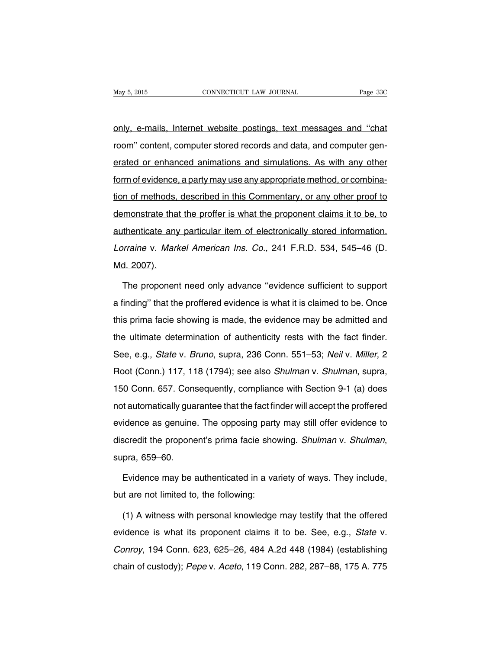only, e-mails, Internet website postings, text messages and ''chat room'' content, computer stored records and data, and computer generated or enhanced animations and simulations. As with any other form of evidence, a party may use any appropriate method, or combination of methods, described in this Commentary, or any other proof to demonstrate that the proffer is what the proponent claims it to be, to authenticate any particular item of electronically stored information. Lorraine v. Markel American Ins. Co., 241 F.R.D. 534, 545–46 (D. Md. 2007).

The proponent need only advance ''evidence sufficient to support a finding'' that the proffered evidence is what it is claimed to be. Once this prima facie showing is made, the evidence may be admitted and the ultimate determination of authenticity rests with the fact finder. See, e.g., State v. Bruno, supra, 236 Conn. 551-53; Neil v. Miller, 2 Root (Conn.) 117, 118 (1794); see also Shulman v. Shulman, supra, 150 Conn. 657. Consequently, compliance with Section 9-1 (a) does not automatically guarantee that the fact finder will accept the proffered evidence as genuine. The opposing party may still offer evidence to discredit the proponent's prima facie showing. Shulman v. Shulman, supra, 659–60.

Evidence may be authenticated in a variety of ways. They include, but are not limited to, the following:

(1) A witness with personal knowledge may testify that the offered evidence is what its proponent claims it to be. See, e.g., State v. Conroy, 194 Conn. 623, 625–26, 484 A.2d 448 (1984) (establishing chain of custody); Pepe v. Aceto, 119 Conn. 282, 287–88, 175 A. 775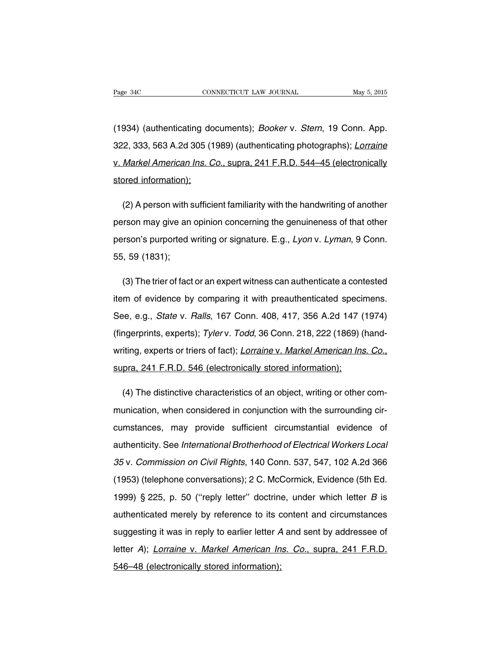(1934) (authenticating documents); Booker v. Stern, 19 Conn. App. 322, 333, 563 A.2d 305 (1989) (authenticating photographs); Lorraine v. Markel American Ins. Co., supra, 241 F.R.D. 544–45 (electronically stored information);

(2) A person with sufficient familiarity with the handwriting of another person may give an opinion concerning the genuineness of that other person's purported writing or signature. E.g., Lyon v. Lyman, 9 Conn. 55, 59 (1831);

(3) The trier of fact or an expert witness can authenticate a contested item of evidence by comparing it with preauthenticated specimens. See, e.g., State v. Ralls, 167 Conn. 408, 417, 356 A.2d 147 (1974) (fingerprints, experts); Tyler v. Todd, 36 Conn. 218, 222 (1869) (handwriting, experts or triers of fact); Lorraine v. Markel American Ins. Co., supra, 241 F.R.D. 546 (electronically stored information);

(4) The distinctive characteristics of an object, writing or other communication, when considered in conjunction with the surrounding circumstances, may provide sufficient circumstantial evidence of authenticity. See International Brotherhood of Electrical Workers Local 35 v. Commission on Civil Rights, 140 Conn. 537, 547, 102 A.2d 366 (1953) (telephone conversations); 2 C. McCormick, Evidence (5th Ed. 1999) § 225, p. 50 ("reply letter" doctrine, under which letter  $B$  is authenticated merely by reference to its content and circumstances suggesting it was in reply to earlier letter A and sent by addressee of letter A); Lorraine v. Markel American Ins. Co., supra, 241 F.R.D. 546–48 (electronically stored information);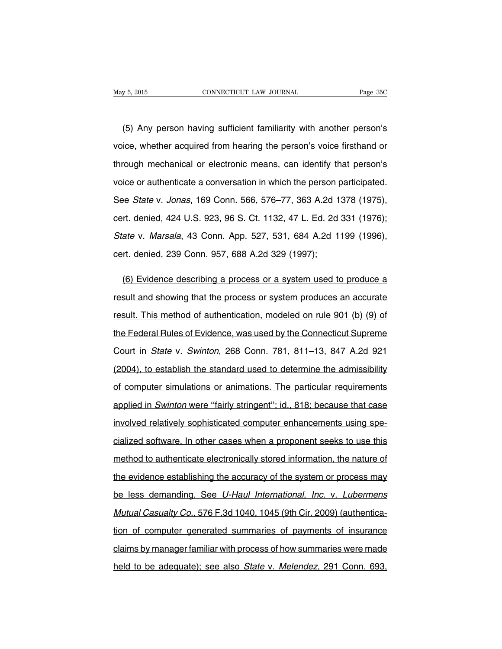(5) Any person having sufficient familiarity with another person's voice, whether acquired from hearing the person's voice firsthand or through mechanical or electronic means, can identify that person's voice or authenticate a conversation in which the person participated. See State v. Jonas, 169 Conn. 566, 576–77, 363 A.2d 1378 (1975), cert. denied, 424 U.S. 923, 96 S. Ct. 1132, 47 L. Ed. 2d 331 (1976); State v. Marsala, 43 Conn. App. 527, 531, 684 A.2d 1199 (1996), cert. denied, 239 Conn. 957, 688 A.2d 329 (1997);

(6) Evidence describing a process or a system used to produce a result and showing that the process or system produces an accurate result. This method of authentication, modeled on rule 901 (b) (9) of the Federal Rules of Evidence, was used by the Connecticut Supreme Court in State v. Swinton, 268 Conn. 781, 811–13, 847 A.2d 921 (2004), to establish the standard used to determine the admissibility of computer simulations or animations. The particular requirements applied in Swinton were "fairly stringent"; id., 818; because that case involved relatively sophisticated computer enhancements using specialized software. In other cases when a proponent seeks to use this method to authenticate electronically stored information, the nature of the evidence establishing the accuracy of the system or process may be less demanding. See U-Haul International, Inc. v. Lubermens Mutual Casualty Co., 576 F.3d 1040, 1045 (9th Cir. 2009) (authentication of computer generated summaries of payments of insurance claims by manager familiar with process of how summaries were made held to be adequate); see also State v. Melendez, 291 Conn. 693,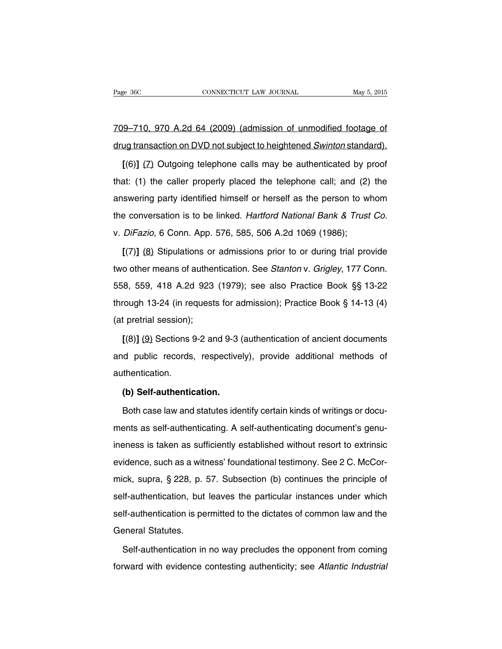709–710, 970 A.2d 64 (2009) (admission of unmodified footage of drug transaction on DVD not subject to heightened Swinton standard).

**[**(6)**]** (7) Outgoing telephone calls may be authenticated by proof that: (1) the caller properly placed the telephone call; and (2) the answering party identified himself or herself as the person to whom the conversation is to be linked. Hartford National Bank & Trust Co. v. DiFazio, 6 Conn. App. 576, 585, 506 A.2d 1069 (1986);

**[**(7)**]** (8) Stipulations or admissions prior to or during trial provide two other means of authentication. See Stanton v. Grigley, 177 Conn. 558, 559, 418 A.2d 923 (1979); see also Practice Book §§ 13-22 through 13-24 (in requests for admission); Practice Book § 14-13 (4) (at pretrial session);

**[**(8)**]** (9) Sections 9-2 and 9-3 (authentication of ancient documents and public records, respectively), provide additional methods of authentication.

### **(b) Self-authentication.**

Both case law and statutes identify certain kinds of writings or documents as self-authenticating. A self-authenticating document's genuineness is taken as sufficiently established without resort to extrinsic evidence, such as a witness' foundational testimony. See 2 C. McCormick, supra, § 228, p. 57. Subsection (b) continues the principle of self-authentication, but leaves the particular instances under which self-authentication is permitted to the dictates of common law and the General Statutes.

Self-authentication in no way precludes the opponent from coming forward with evidence contesting authenticity; see Atlantic Industrial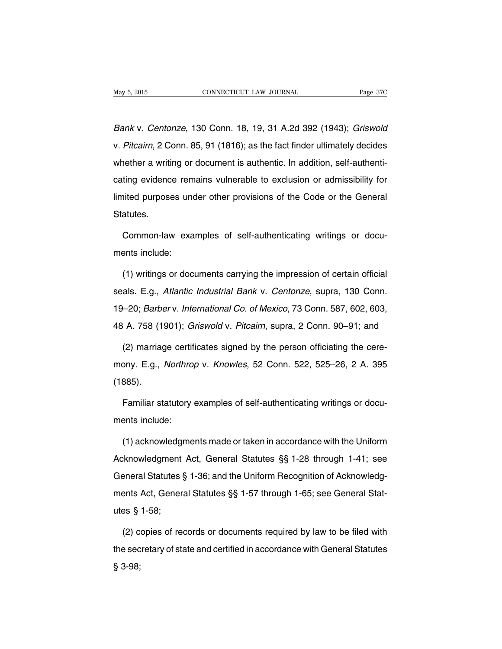Bank v. Centonze, 130 Conn. 18, 19, 31 A.2d 392 (1943); Griswold v. Pitcairn, 2 Conn. 85, 91 (1816); as the fact finder ultimately decides whether a writing or document is authentic. In addition, self-authenticating evidence remains vulnerable to exclusion or admissibility for limited purposes under other provisions of the Code or the General Statutes.

Common-law examples of self-authenticating writings or documents include:

(1) writings or documents carrying the impression of certain official seals. E.g., Atlantic Industrial Bank v. Centonze, supra, 130 Conn. 19–20; Barber v. International Co. of Mexico, 73 Conn. 587, 602, 603, 48 A. 758 (1901); Griswold v. Pitcairn, supra, 2 Conn. 90–91; and

(2) marriage certificates signed by the person officiating the ceremony. E.g., Northrop v. Knowles, 52 Conn. 522, 525–26, 2 A. 395 (1885).

Familiar statutory examples of self-authenticating writings or documents include:

(1) acknowledgments made or taken in accordance with the Uniform Acknowledgment Act, General Statutes §§ 1-28 through 1-41; see General Statutes § 1-36; and the Uniform Recognition of Acknowledgments Act, General Statutes §§ 1-57 through 1-65; see General Statutes § 1-58;

(2) copies of records or documents required by law to be filed with the secretary of state and certified in accordance with General Statutes § 3-98;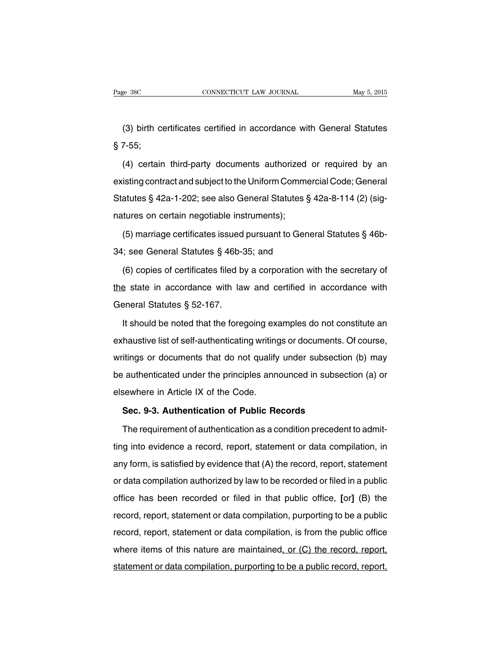(3) birth certificates certified in accordance with General Statutes § 7-55;

(4) certain third-party documents authorized or required by an existing contract and subject to the Uniform Commercial Code; General Statutes § 42a-1-202; see also General Statutes § 42a-8-114 (2) (signatures on certain negotiable instruments);

(5) marriage certificates issued pursuant to General Statutes § 46b-34; see General Statutes § 46b-35; and

(6) copies of certificates filed by a corporation with the secretary of the state in accordance with law and certified in accordance with General Statutes § 52-167.

It should be noted that the foregoing examples do not constitute an exhaustive list of self-authenticating writings or documents. Of course, writings or documents that do not qualify under subsection (b) may be authenticated under the principles announced in subsection (a) or elsewhere in Article IX of the Code.

### **Sec. 9-3. Authentication of Public Records**

The requirement of authentication as a condition precedent to admitting into evidence a record, report, statement or data compilation, in any form, is satisfied by evidence that (A) the record, report, statement or data compilation authorized by law to be recorded or filed in a public office has been recorded or filed in that public office, **[**or**]** (B) the record, report, statement or data compilation, purporting to be a public record, report, statement or data compilation, is from the public office where items of this nature are maintained, or (C) the record, report, statement or data compilation, purporting to be a public record, report,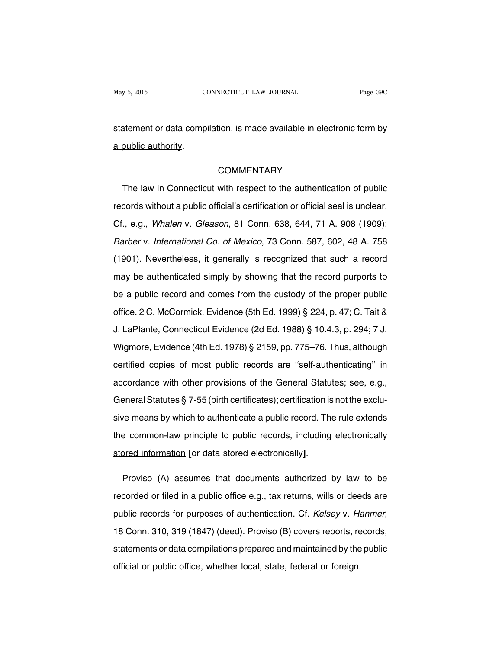statement or data compilation, is made available in electronic form by a public authority.

### **COMMENTARY**

The law in Connecticut with respect to the authentication of public records without a public official's certification or official seal is unclear. Cf., e.g., Whalen v. Gleason, 81 Conn. 638, 644, 71 A. 908 (1909); Barber v. International Co. of Mexico, 73 Conn. 587, 602, 48 A. 758 (1901). Nevertheless, it generally is recognized that such a record may be authenticated simply by showing that the record purports to be a public record and comes from the custody of the proper public office. 2 C. McCormick, Evidence (5th Ed. 1999) § 224, p. 47; C. Tait & J. LaPlante, Connecticut Evidence (2d Ed. 1988) § 10.4.3, p. 294; 7 J. Wigmore, Evidence (4th Ed. 1978) § 2159, pp. 775–76. Thus, although certified copies of most public records are ''self-authenticating'' in accordance with other provisions of the General Statutes; see, e.g., General Statutes § 7-55 (birth certificates); certification is not the exclusive means by which to authenticate a public record. The rule extends the common-law principle to public records, including electronically stored information **[**or data stored electronically**]**.

Proviso (A) assumes that documents authorized by law to be recorded or filed in a public office e.g., tax returns, wills or deeds are public records for purposes of authentication. Cf. Kelsey v. Hanmer, 18 Conn. 310, 319 (1847) (deed). Proviso (B) covers reports, records, statements or data compilations prepared and maintained by the public official or public office, whether local, state, federal or foreign.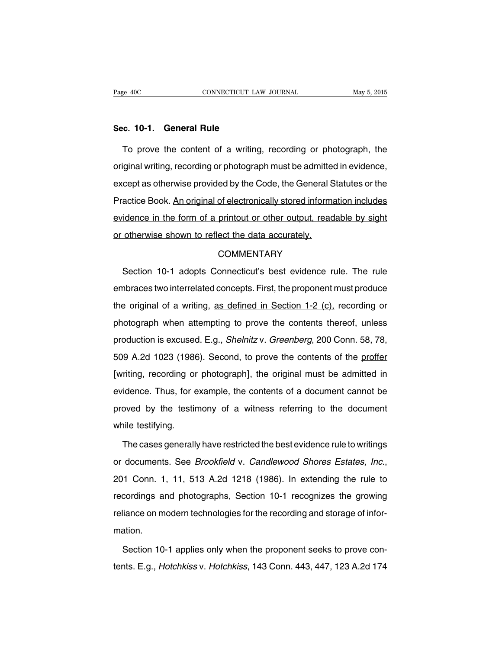#### **Sec. 10-1. General Rule**

To prove the content of a writing, recording or photograph, the original writing, recording or photograph must be admitted in evidence, except as otherwise provided by the Code, the General Statutes or the Practice Book. An original of electronically stored information includes evidence in the form of a printout or other output, readable by sight or otherwise shown to reflect the data accurately.

### **COMMENTARY**

Section 10-1 adopts Connecticut's best evidence rule. The rule embraces two interrelated concepts. First, the proponent must produce the original of a writing, as defined in Section 1-2 (c), recording or photograph when attempting to prove the contents thereof, unless production is excused. E.g., Shelnitz v. Greenberg, 200 Conn. 58, 78, 509 A.2d 1023 (1986). Second, to prove the contents of the proffer **[**writing, recording or photograph**]**, the original must be admitted in evidence. Thus, for example, the contents of a document cannot be proved by the testimony of a witness referring to the document while testifying.

The cases generally have restricted the best evidence rule to writings or documents. See Brookfield v. Candlewood Shores Estates, Inc., 201 Conn. 1, 11, 513 A.2d 1218 (1986). In extending the rule to recordings and photographs, Section 10-1 recognizes the growing reliance on modern technologies for the recording and storage of information.

Section 10-1 applies only when the proponent seeks to prove contents. E.g., Hotchkiss v. Hotchkiss, 143 Conn. 443, 447, 123 A.2d 174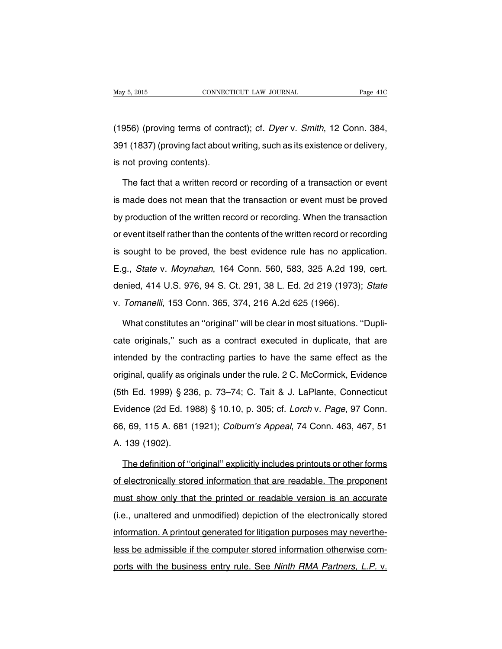(1956) (proving terms of contract); cf. Dyer v. Smith, 12 Conn. 384, 391 (1837) (proving fact about writing, such as its existence or delivery, is not proving contents).

The fact that a written record or recording of a transaction or event is made does not mean that the transaction or event must be proved by production of the written record or recording. When the transaction or event itself rather than the contents of the written record or recording is sought to be proved, the best evidence rule has no application. E.g., State v. Moynahan, 164 Conn. 560, 583, 325 A.2d 199, cert. denied, 414 U.S. 976, 94 S. Ct. 291, 38 L. Ed. 2d 219 (1973); State v. Tomanelli, 153 Conn. 365, 374, 216 A.2d 625 (1966).

What constitutes an ''original'' will be clear in most situations. ''Duplicate originals,'' such as a contract executed in duplicate, that are intended by the contracting parties to have the same effect as the original, qualify as originals under the rule. 2 C. McCormick, Evidence (5th Ed. 1999) § 236, p. 73–74; C. Tait & J. LaPlante, Connecticut Evidence (2d Ed. 1988) § 10.10, p. 305; cf. Lorch v. Page, 97 Conn. 66, 69, 115 A. 681 (1921); Colburn's Appeal, 74 Conn. 463, 467, 51 A. 139 (1902).

The definition of ''original'' explicitly includes printouts or other forms of electronically stored information that are readable. The proponent must show only that the printed or readable version is an accurate (i.e., unaltered and unmodified) depiction of the electronically stored information. A printout generated for litigation purposes may nevertheless be admissible if the computer stored information otherwise comports with the business entry rule. See Ninth RMA Partners, L.P. v.